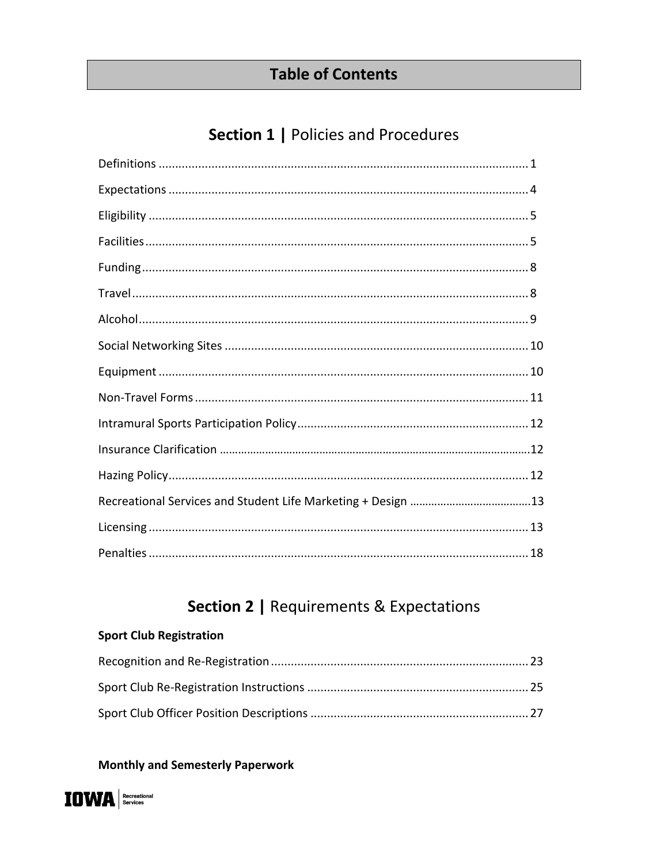## **Table of Contents**

## Section 1 | Policies and Procedures

## **Section 2 | Requirements & Expectations**

### **Sport Club Registration**

## **Monthly and Semesterly Paperwork**

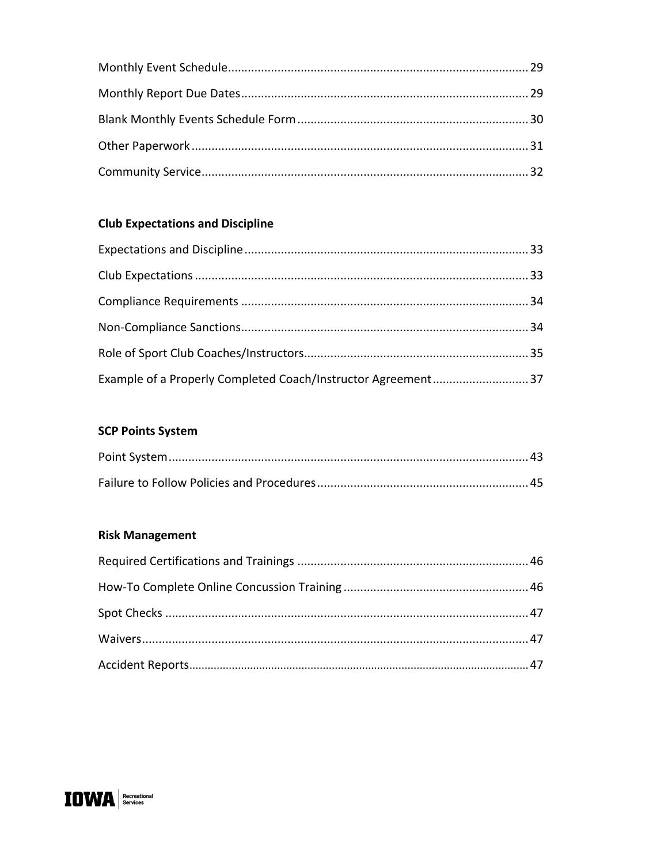## **Club Expectations and Discipline**

| Example of a Properly Completed Coach/Instructor Agreement 37 |  |
|---------------------------------------------------------------|--|

### **SCP Points System**

### **Risk Management**

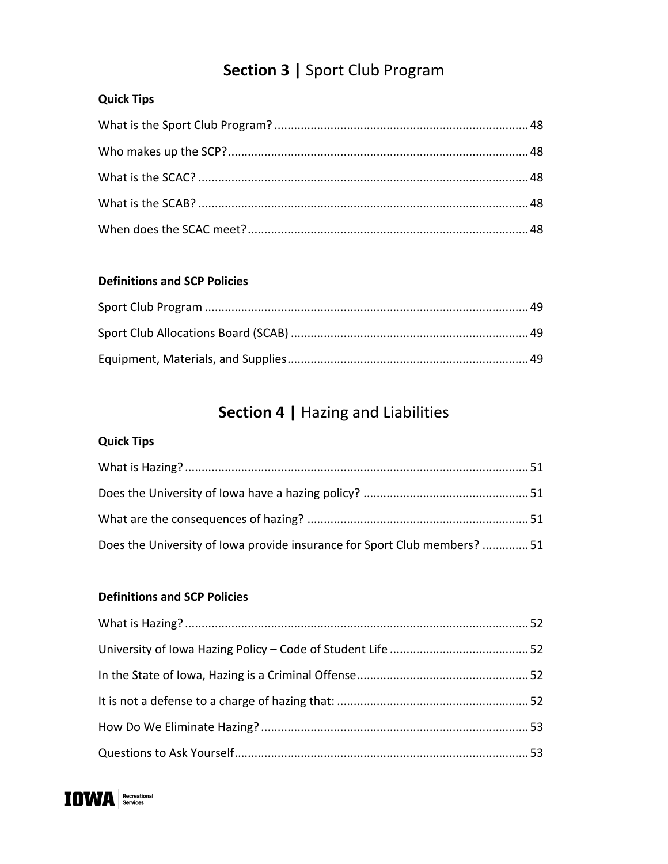# **Section 3 |** Sport Club Program

## **Quick Tips**

#### **Definitions and SCP Policies**

# **Section 4 |** Hazing and Liabilities

## **Quick Tips**

| Does the University of Iowa provide insurance for Sport Club members? 51 |  |
|--------------------------------------------------------------------------|--|

#### **Definitions and SCP Policies**

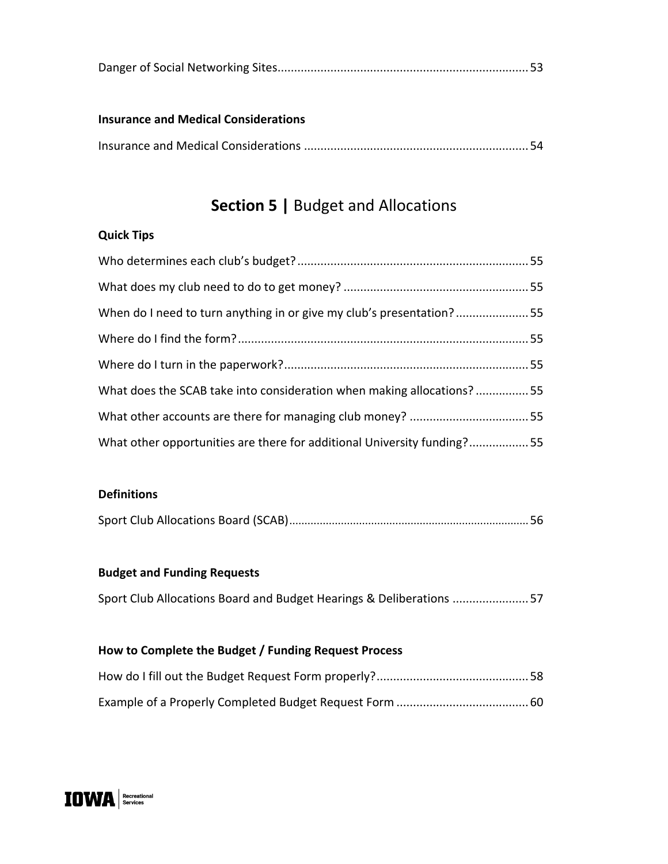|--|--|--|

#### **Insurance and Medical Considerations**

|--|

## **Section 5 |** Budget and Allocations

### **Quick Tips**

| When do I need to turn anything in or give my club's presentation?55    |  |
|-------------------------------------------------------------------------|--|
|                                                                         |  |
|                                                                         |  |
| What does the SCAB take into consideration when making allocations?55   |  |
|                                                                         |  |
| What other opportunities are there for additional University funding?55 |  |

#### **Definitions**

|--|--|

#### **Budget and Funding Requests**

Sport Club Allocations Board and Budget Hearings & Deliberations .......................57

### **How to Complete the Budget / Funding Request Process**

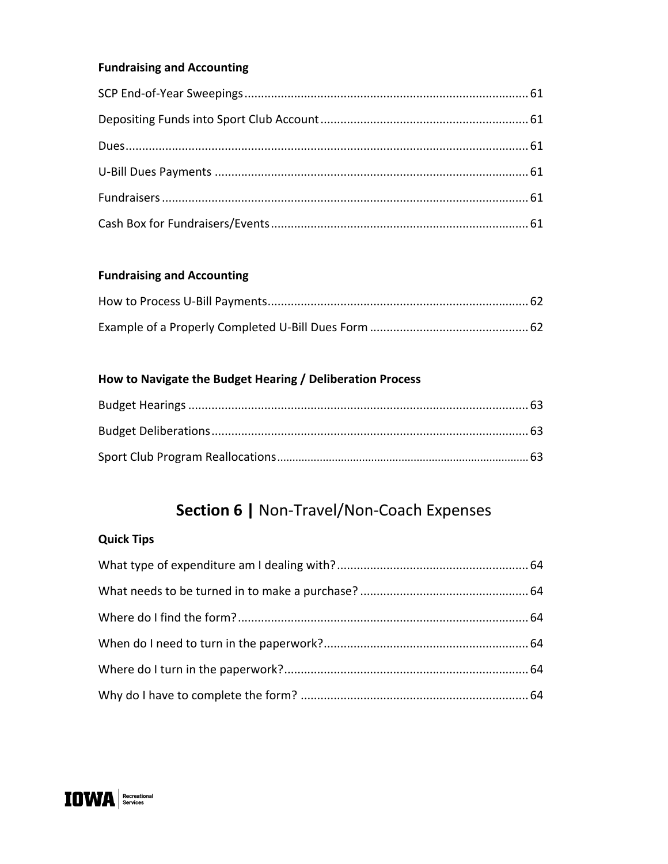## **Fundraising and Accounting**

### **Fundraising and Accounting**

### How to Navigate the Budget Hearing / Deliberation Process

## Section 6 | Non-Travel/Non-Coach Expenses

## **Quick Tips**

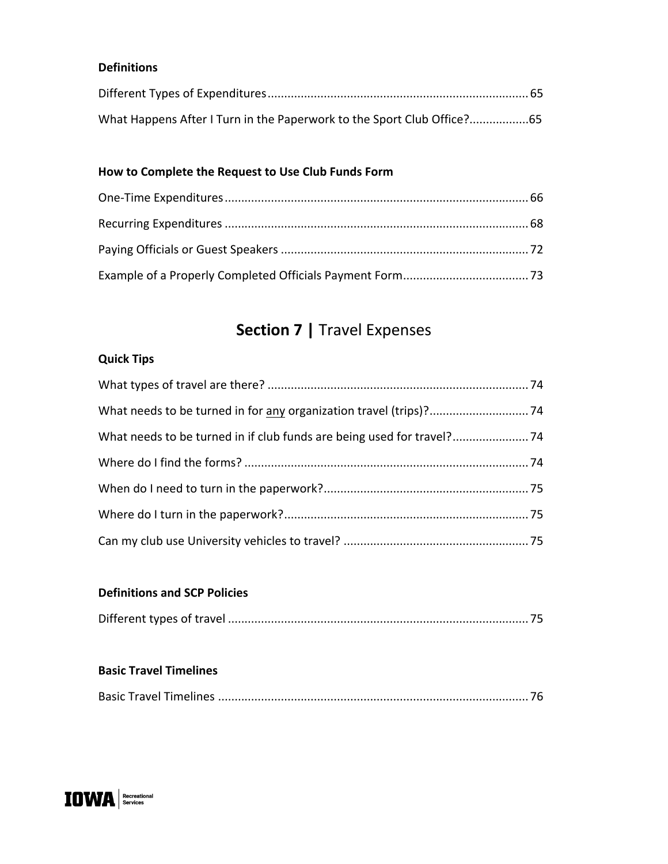#### **Definitions**

## **How to Complete the Request to Use Club Funds Form**

# **Section 7 |** Travel Expenses

### **Quick Tips**

#### **Definitions and SCP Policies**

|--|--|

#### **Basic Travel Timelines**

|--|--|--|--|--|--|

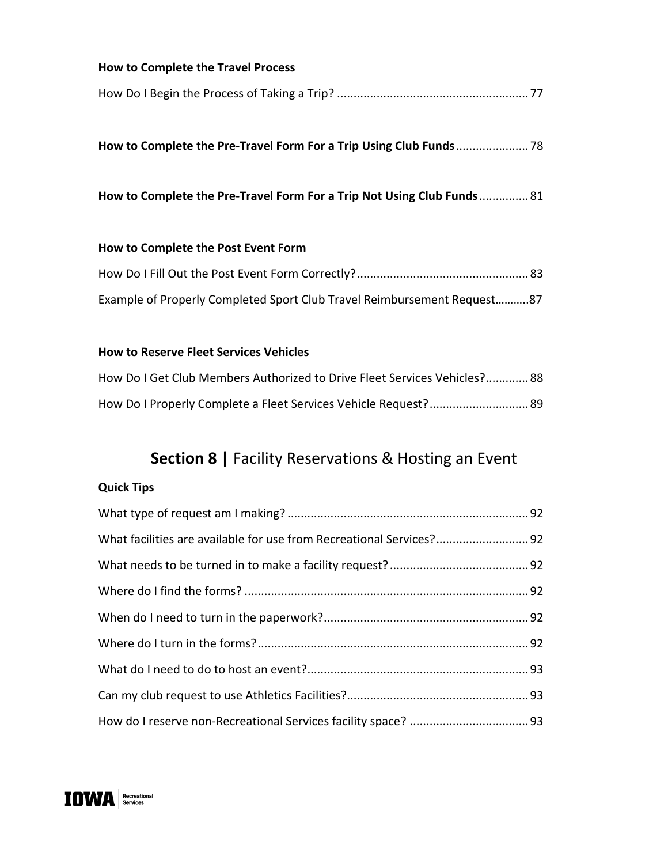| <b>How to Complete the Travel Process</b>                               |
|-------------------------------------------------------------------------|
|                                                                         |
|                                                                         |
|                                                                         |
| How to Complete the Pre-Travel Form For a Trip Not Using Club Funds 81  |
|                                                                         |
| How to Complete the Post Event Form                                     |
|                                                                         |
| Example of Properly Completed Sport Club Travel Reimbursement Request87 |
|                                                                         |

## **How to Reserve Fleet Services Vehicles**

| How Do I Get Club Members Authorized to Drive Fleet Services Vehicles? 88 |  |
|---------------------------------------------------------------------------|--|
|                                                                           |  |

# **Section 8 |** Facility Reservations & Hosting an Event

## **Quick Tips**

| What facilities are available for use from Recreational Services? 92 |  |
|----------------------------------------------------------------------|--|
|                                                                      |  |
|                                                                      |  |
|                                                                      |  |
|                                                                      |  |
|                                                                      |  |
|                                                                      |  |
|                                                                      |  |

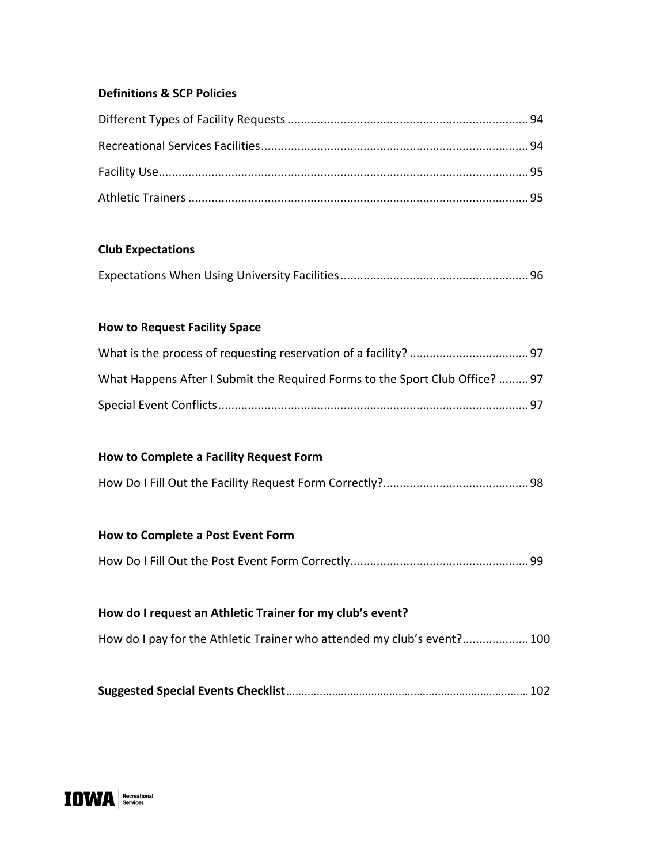#### **Definitions & SCP Policies**

#### **Club Expectations**

|--|--|

#### **How to Request Facility Space**

| What Happens After I Submit the Required Forms to the Sport Club Office?  97 |  |
|------------------------------------------------------------------------------|--|
|                                                                              |  |

#### **How to Complete a Facility Request Form**

|--|--|

#### **How to Complete a Post Event Form**

How Do I Fill Out the Post Event Form Correctly......................................................99

# **How do I request an Athletic Trainer for my club's event?** How do I pay for the Athletic Trainer who attended my club's event?....................100

**Suggested Special Events Checklist**................................................................................102

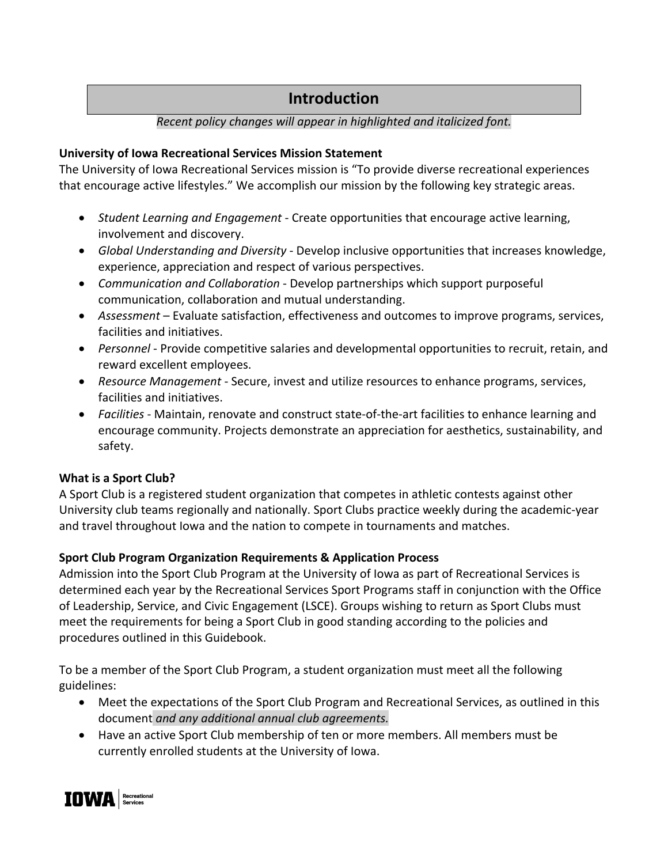## **Introduction**

### *Recent policy changes will appear in highlighted and italicized font.*

### **University of Iowa Recreational Services Mission Statement**

The University of Iowa Recreational Services mission is "To provide diverse recreational experiences that encourage active lifestyles." We accomplish our mission by the following key strategic areas.

- *Student Learning and Engagement*  Create opportunities that encourage active learning, involvement and discovery.
- *Global Understanding and Diversity* Develop inclusive opportunities that increases knowledge, experience, appreciation and respect of various perspectives.
- *Communication and Collaboration* Develop partnerships which support purposeful communication, collaboration and mutual understanding.
- *Assessment* Evaluate satisfaction, effectiveness and outcomes to improve programs, services, facilities and initiatives.
- *Personnel* Provide competitive salaries and developmental opportunities to recruit, retain, and reward excellent employees.
- *Resource Management* Secure, invest and utilize resources to enhance programs, services, facilities and initiatives.
- *Facilities* Maintain, renovate and construct state-of-the-art facilities to enhance learning and encourage community. Projects demonstrate an appreciation for aesthetics, sustainability, and safety.

## **What is a Sport Club?**

A Sport Club is a registered student organization that competes in athletic contests against other University club teams regionally and nationally. Sport Clubs practice weekly during the academic-year and travel throughout Iowa and the nation to compete in tournaments and matches.

## **Sport Club Program Organization Requirements & Application Process**

Admission into the Sport Club Program at the University of Iowa as part of Recreational Services is determined each year by the Recreational Services Sport Programs staff in conjunction with the Office of Leadership, Service, and Civic Engagement (LSCE). Groups wishing to return as Sport Clubs must meet the requirements for being a Sport Club in good standing according to the policies and procedures outlined in this Guidebook.

To be a member of the Sport Club Program, a student organization must meet all the following guidelines:

- Meet the expectations of the Sport Club Program and Recreational Services, as outlined in this document *and any additional annual club agreements.*
- Have an active Sport Club membership of ten or more members. All members must be currently enrolled students at the University of Iowa.

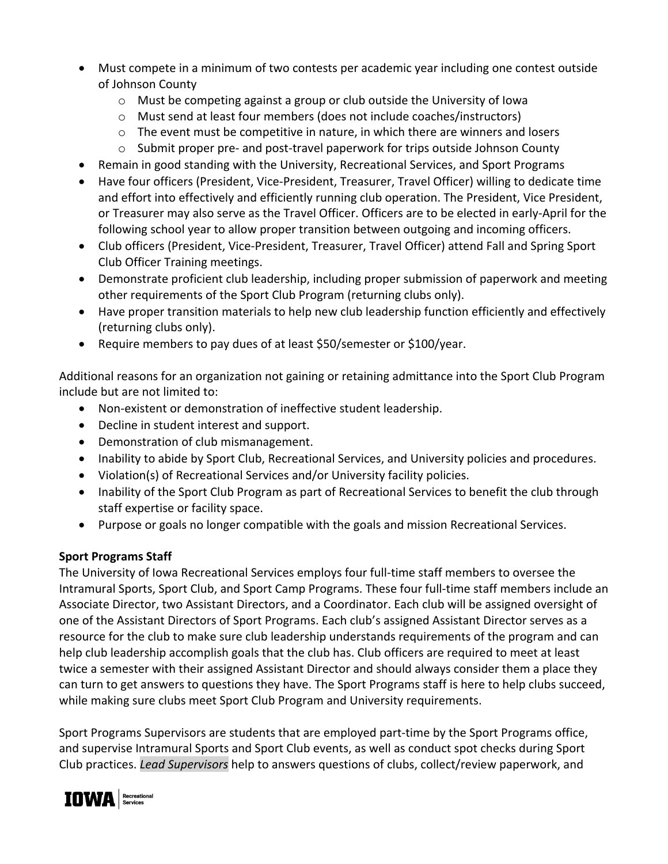- Must compete in a minimum of two contests per academic year including one contest outside of Johnson County
	- $\circ$  Must be competing against a group or club outside the University of Iowa
	- o Must send at least four members (does not include coaches/instructors)
	- $\circ$  The event must be competitive in nature, in which there are winners and losers
	- $\circ$  Submit proper pre- and post-travel paperwork for trips outside Johnson County
- Remain in good standing with the University, Recreational Services, and Sport Programs
- Have four officers (President, Vice-President, Treasurer, Travel Officer) willing to dedicate time and effort into effectively and efficiently running club operation. The President, Vice President, or Treasurer may also serve as the Travel Officer. Officers are to be elected in early-April for the following school year to allow proper transition between outgoing and incoming officers.
- Club officers (President, Vice-President, Treasurer, Travel Officer) attend Fall and Spring Sport Club Officer Training meetings.
- Demonstrate proficient club leadership, including proper submission of paperwork and meeting other requirements of the Sport Club Program (returning clubs only).
- Have proper transition materials to help new club leadership function efficiently and effectively (returning clubs only).
- Require members to pay dues of at least \$50/semester or \$100/year.

Additional reasons for an organization not gaining or retaining admittance into the Sport Club Program include but are not limited to:

- Non-existent or demonstration of ineffective student leadership.
- Decline in student interest and support.
- Demonstration of club mismanagement.
- Inability to abide by Sport Club, Recreational Services, and University policies and procedures.
- Violation(s) of Recreational Services and/or University facility policies.
- Inability of the Sport Club Program as part of Recreational Services to benefit the club through staff expertise or facility space.
- Purpose or goals no longer compatible with the goals and mission Recreational Services.

## **Sport Programs Staff**

The University of Iowa Recreational Services employs four full-time staff members to oversee the Intramural Sports, Sport Club, and Sport Camp Programs. These four full-time staff members include an Associate Director, two Assistant Directors, and a Coordinator. Each club will be assigned oversight of one of the Assistant Directors of Sport Programs. Each club's assigned Assistant Director serves as a resource for the club to make sure club leadership understands requirements of the program and can help club leadership accomplish goals that the club has. Club officers are required to meet at least twice a semester with their assigned Assistant Director and should always consider them a place they can turn to get answers to questions they have. The Sport Programs staff is here to help clubs succeed, while making sure clubs meet Sport Club Program and University requirements.

Sport Programs Supervisors are students that are employed part-time by the Sport Programs office, and supervise Intramural Sports and Sport Club events, as well as conduct spot checks during Sport Club practices. *Lead Supervisors* help to answers questions of clubs, collect/review paperwork, and

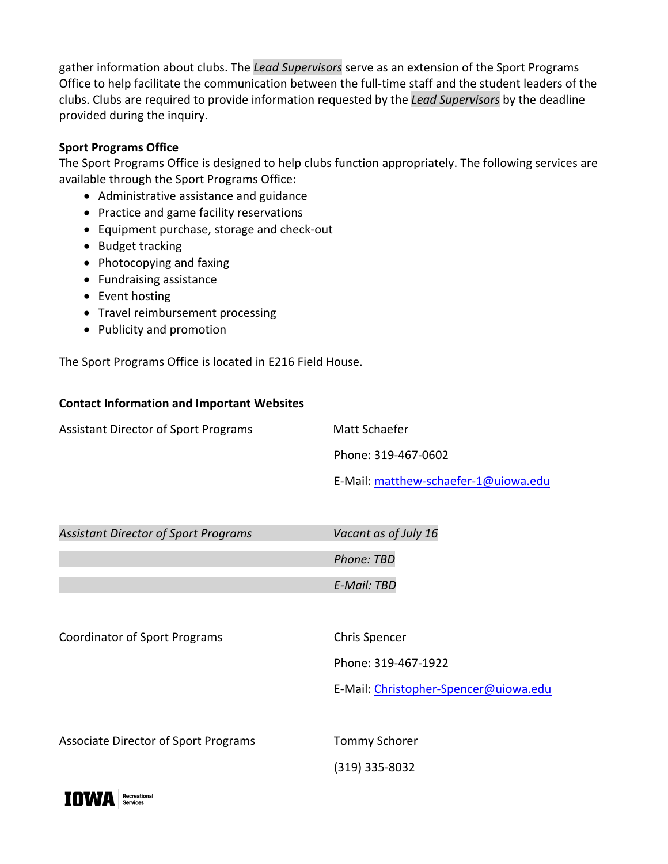gather information about clubs. The *Lead Supervisors* serve as an extension of the Sport Programs Office to help facilitate the communication between the full-time staff and the student leaders of the clubs. Clubs are required to provide information requested by the *Lead Supervisors* by the deadline provided during the inquiry.

#### **Sport Programs Office**

The Sport Programs Office is designed to help clubs function appropriately. The following services are available through the Sport Programs Office:

- Administrative assistance and guidance
- Practice and game facility reservations
- Equipment purchase, storage and check-out
- Budget tracking
- Photocopying and faxing
- Fundraising assistance
- Event hosting
- Travel reimbursement processing
- Publicity and promotion

The Sport Programs Office is located in E216 Field House.

#### **Contact Information and Important Websites**

Assistant Director of Sport Programs Matt Schaefer

Phone: 319-467-0602

E-Mail: matthew-schaefer-1@uiowa.edu

| <b>Assistant Director of Sport Programs</b> | Vacant as of July 16 |
|---------------------------------------------|----------------------|
|                                             | Phone: TBD           |
|                                             | E-Mail: TBD          |

Coordinator of Sport Programs Chris Spencer

Phone: 319-467-1922

E-Mail: Christopher-Spencer@uiowa.edu

Associate Director of Sport Programs Tommy Schorer

(319) 335-8032

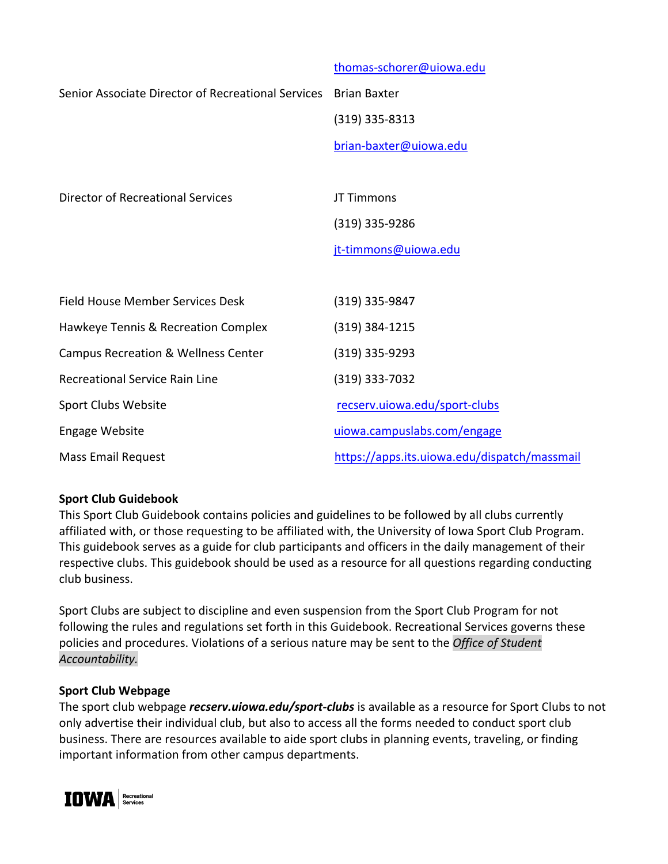|                                                    | thomas-schorer@uiowa.edu                     |
|----------------------------------------------------|----------------------------------------------|
| Senior Associate Director of Recreational Services | <b>Brian Baxter</b>                          |
|                                                    | $(319)$ 335-8313                             |
|                                                    | brian-baxter@uiowa.edu                       |
|                                                    |                                              |
| <b>Director of Recreational Services</b>           | JT Timmons                                   |
|                                                    | $(319)$ 335-9286                             |
|                                                    | jt-timmons@uiowa.edu                         |
|                                                    |                                              |
| Field House Member Services Desk                   | (319) 335-9847                               |
| Hawkeye Tennis & Recreation Complex                | $(319)$ 384-1215                             |
| <b>Campus Recreation &amp; Wellness Center</b>     | (319) 335-9293                               |
| <b>Recreational Service Rain Line</b>              | (319) 333-7032                               |
| Sport Clubs Website                                | recserv.uiowa.edu/sport-clubs                |
| <b>Engage Website</b>                              | uiowa.campuslabs.com/engage                  |
| <b>Mass Email Request</b>                          | https://apps.its.uiowa.edu/dispatch/massmail |

#### **Sport Club Guidebook**

This Sport Club Guidebook contains policies and guidelines to be followed by all clubs currently affiliated with, or those requesting to be affiliated with, the University of Iowa Sport Club Program. This guidebook serves as a guide for club participants and officers in the daily management of their respective clubs. This guidebook should be used as a resource for all questions regarding conducting club business.

Sport Clubs are subject to discipline and even suspension from the Sport Club Program for not following the rules and regulations set forth in this Guidebook. Recreational Services governs these policies and procedures. Violations of a serious nature may be sent to the *Office of Student Accountability.*

#### **Sport Club Webpage**

The sport club webpage *recserv.uiowa.edu/sport-clubs* is available as a resource for Sport Clubs to not only advertise their individual club, but also to access all the forms needed to conduct sport club business. There are resources available to aide sport clubs in planning events, traveling, or finding important information from other campus departments.